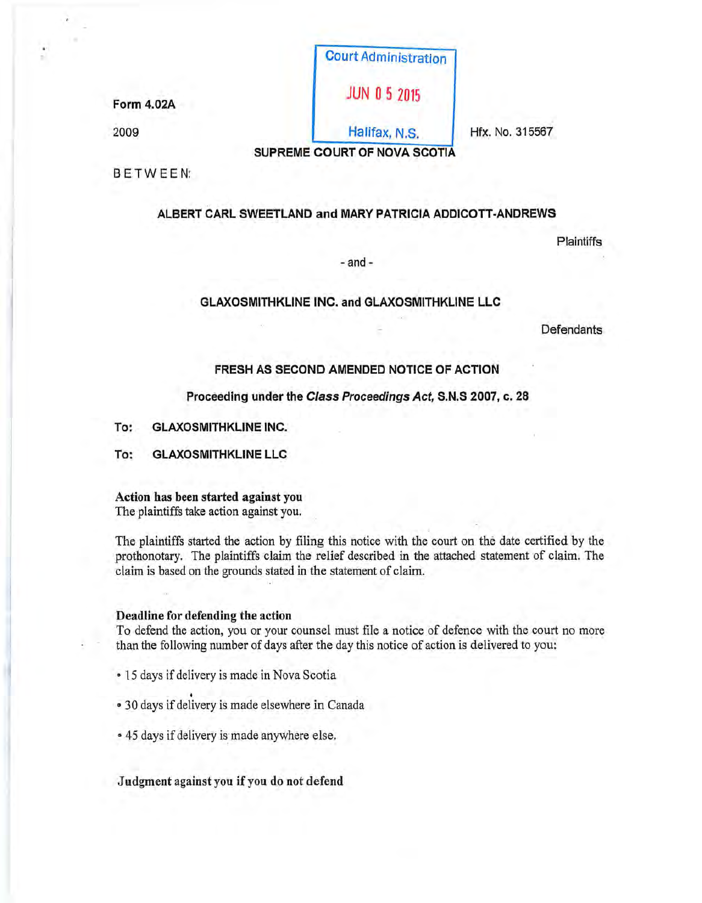|            | <b>Court Administration</b> |                 |
|------------|-----------------------------|-----------------|
| Form 4.02A | <b>JUN 0 5 2015</b>         |                 |
| 2009       | Halifax, N.S.               | Hfx. No. 315567 |

..

SUPREME COURT OF NOVA SCOTIA

BETWEEN:

# ALBERT CARL SWEETLAND and MARY PATRICIA ADDICOTT-ANDREWS

Plaintiffs

- and -

# GLAXOSMITHKLINE INC. and GLAXOSMITHKLINE LLC

**Defendants** 

# FRESH AS SECOND AMENDED NOTICE OF ACTION

# Proceeding under the Class Proceedings Act, S.N.S 2007, c. 28

- To: GLAXOSMITHKLINE INC.
- To: GLAXOSMITHKLINE LLC

# Action has been started against you

The plaintiffs take action against you.

The plaintiffs started the action by filing this notice with the court on the date certified by the prothonotary. The plaintiffs claim the relief described in the attached statement of claim. The claim is based on the grounds stated in the statement of claim.

# Deadline for defending the action

To defend the action, you or your counsel must file a notice of defence with the court no more than the following number of days after the day this notice of action is delivered to you:

- 15 days if delivery is made in Nova Scotia .
- <sup>~</sup>30 days if delivery is made elsewhere in Canada
- 45 days if delivery is made anywhere else.

Judgment against you if you do not defend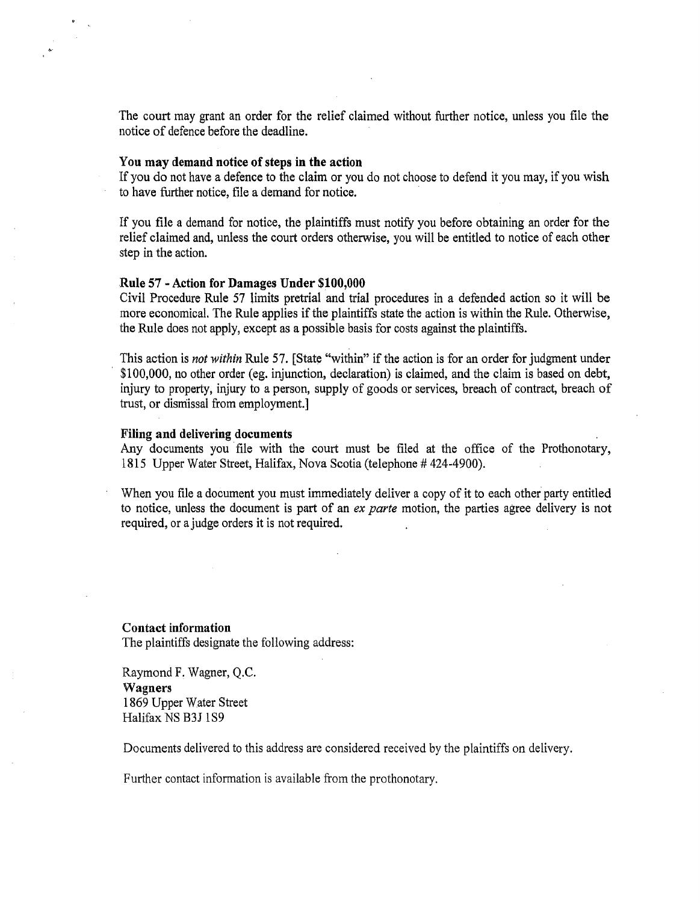The court may grant an order for the relief claimed without further notice, unless you file the notice of defence before the deadline.

### You may demand notice of steps in the action

If you do not have a defence to the claim or you do not choose to defend it you may, if you wish to have further notice, file a demand for notice.

If you file a demand for notice, the plaintiffs must notify you before obtaining an order for the relief claimed and, unless the court orders otherwise, you will be entitled to notice of each other step in the action.

### Rule 57 -Action for Damages Under \$100,000

Civil Procedure Rule 57 limits pretrial and trial procedures in a defended action so it will be more economical. The Rule applies if the plaintiffs state the action is within the Rule. Otherwise, the Rule does not apply, except as a possible basis for costs against the plaintiffs.

This action is *not within* Rule 57. [State "within" if the action is for an order for judgment under \$100,000, no other order (eg. injunction, declaration) is claimed, and the claim is based on debt, injury to property, injury to a person, supply of goods or services, breach of contract, breach of trust, or dismissal from employment.]

# Filing and delivering documents

Any documents you file with the court must be filed at the office of the Prothonotary, 1815 Upper Water Street, Halifax, Nova Scotia (telephone # 424-4900).

When you file a document you must immediately deliver a copy of it to each other party entitled to notice, unless the document is part of an *ex parte* motion, the parties agree delivery is not required, or a judge orders it is not required.

Contact information The plaintiffs designate the following address:

Raymond F. Wagner, Q.C. Wagners 1869 Upper Water Street Halifax NS B3J 1S9

Documents delivered to this address are considered received by the plaintiffs on delivery.

Further contact information is available from the prothonotary.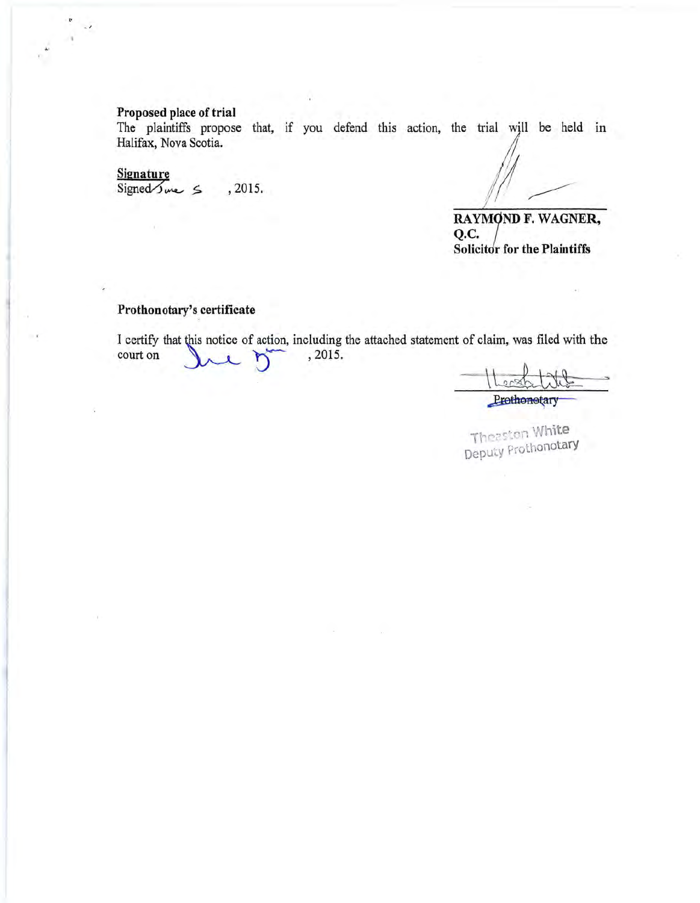# **Proposed place of trial**

The plaintiffs propose that, if you defend this action, the trial will be held in Halifax, Nova Scotia.

# **Signature**

"'

 $Signed \simeq$  5 . 2015.

*d*   $M -$ ~

**RAYMOND F. WAGNER, Q.C. Solicitor for the Plaintiffs** 

# **Prothonotary's certificate**

I certify that this notice of action, including the attached statement of claim, was filed with the I certify that this notice of action, including<br>court on 2015.

aim, was filed with the

**Theaston White** Deputy Prothonotary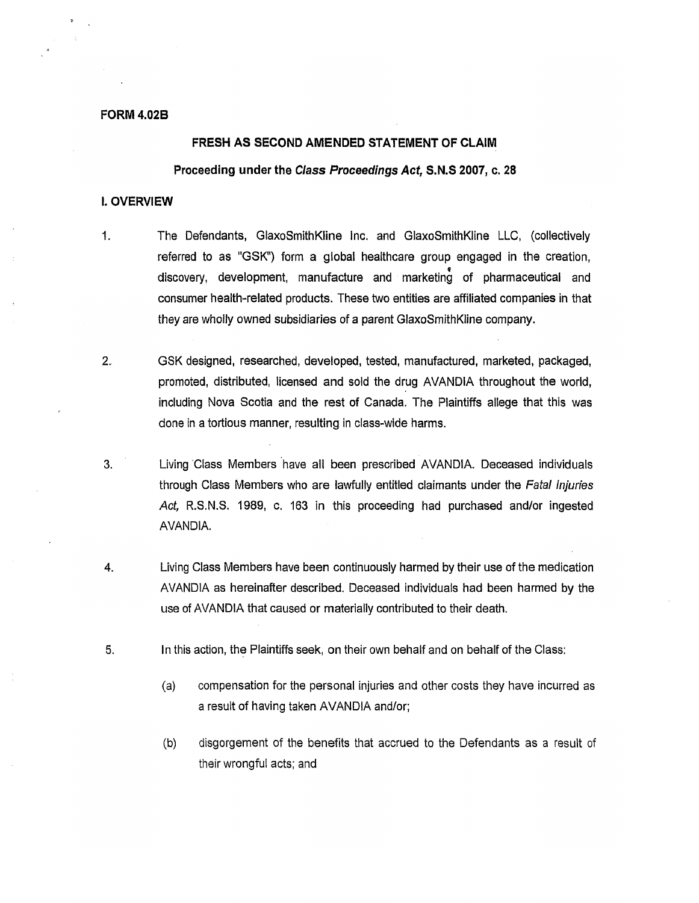### **FORM4.028**

## **FRESH AS SECOND AMENDED STATEMENT OF CLAIM**

# **Proceeding under the Class Proceedings Act, S.N.S 2007, c. 28**

#### I. **OVERVIEW**

- 1. The Defendants, GlaxoSmithKline Inc. and GlaxoSmithKline LLC, (collectively referred to as "GSK") form a global healthcare group engaged in the creation, ' discovery, development, manufacture and marketing of pharmaceutical and consumer health-related products. These two entities are affiliated companies in that they are wholly owned subsidiaries of a parent GlaxoSmithKline company.
- 2. GSK designed, researched, developed, tested, manufactured, marketed, packaged, promoted, distributed, licensed and sold the drug AVANDIA throughout the world, including Nova Scotia and the rest of Canada. The Plaintiffs allege that this was done in a tortious manner, resulting in class-wide harms.
- 3. Living Class Members have all been prescribed AVANDIA. Deceased individuals through Class Members who are lawfully entitled claimants under the Fatal Injuries Act, R.S.N.S. 1989, c. 163 in this proceeding had purchased and/or ingested AVANDIA.
- 4. Living Class Members have been continuously harmed by their use of the medication AVANDIA as hereinafter described. Deceased individuals had been harmed by the use of AVANDIA that caused or materially contributed to their death.
- 5. In this action, the Plaintiffs seek, on their own behalf and on behalf of the Class:
	- (a) compensation for the personal injuries and other costs they have incurred as a result of having taken AVANDIA and/or;
	- (b) disgorgement of the benefits that accrued to the Defendants as a result of their wrongful acts; and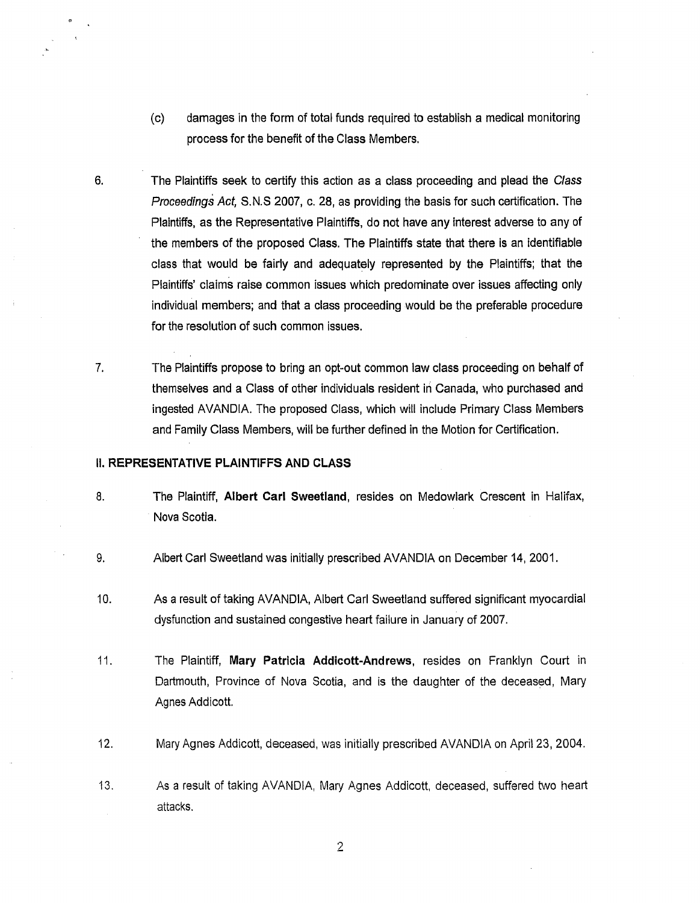- (c) damages in the form of total funds required to establish a medical monitoring process for the benefit of the Class Members.
- 6. The Plaintiffs seek to certify this action as a class proceeding and plead the Class Proceedings Act, S.N.S 2007, c. 28, as providing the basis for such certification. The Plaintiffs, as the Representative Plaintiffs, do not have any interest adverse to any of the members of the proposed Class. The Plaintiffs state that there is an identifiable class that would be fairly and adequately represented by the Plaintiffs; that the Plaintiffs' claims raise common issues which predominate over issues affecting only individual members; and that a class proceeding would be the preferable procedure for the resolution of such common issues.
- 7. The Plaintiffs propose to bring an opt-out common law class proceeding on behalf of themselves and a Class of other individuals resident iri Canada, who purchased and ingested AVANDIA. The proposed Class, which will include Primary Class Members and Family Class Members, will be further defined in the Motion for Certification.

# II. **REPRESENTATIVE PLAINTIFFS AND CLASS**

- 8. The Plaintiff, **Albert Carl Sweetland,** resides on Medowlark Crescent in Halifax, Nova Scotia.
- 9. Albert Carl Sweetland was initially prescribed AVANDIA on December 14, 2001.
- 10. As a result of taking AVANDIA, Albert Carl Sweetland suffered significant myocardial dysfunction and sustained congestive heart failure in January of 2007.
- 11. The Plaintiff, **Mary Patricia Addicott-Andrews,** resides on Franklyn Court in Dartmouth, Province of Nova Scotia, and is the daughter of the deceased, Mary Agnes Addicott.
- 12. Mary Agnes Addicott, deceased, was initially prescribed AVANDIA on April 23, 2004.
- 13. As a result of taking AVANDIA, Mary Agnes Addicott, deceased, suffered two heart attacks.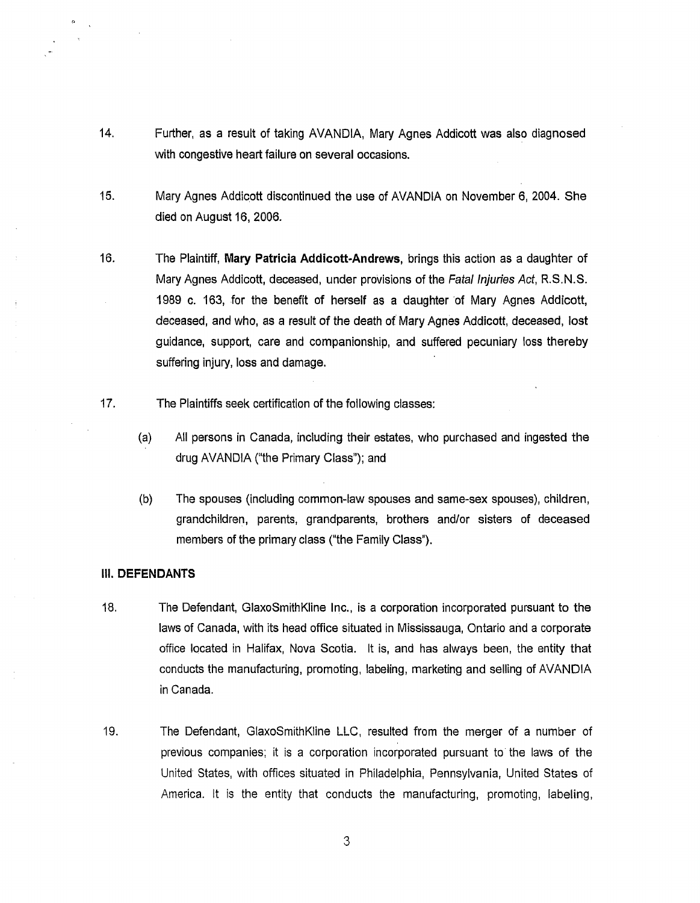- 14. Further, as a result of taking AVANDIA, Mary Agnes Addicott was also diagnosed with congestive heart failure on several occasions.
- 15. Mary Agnes Addicott discontinued the use of AVANDIA on November 6, 2004. She died on August 16, 2006.
- 16. The Plaintiff, **Mary Patricia Addicott-Andrews,** brings this action as a daughter of Mary Agnes Addicott, deceased, under provisions of the Fatal Injuries Act, R.S.N.S. 1989 c. 163, for the benefit of herself as a daughter of Mary Agnes Addicott, deceased, and who, as a result of the death of Mary Agnes Addicott, deceased, lost guidance, support, care and companionship, and suffered pecuniary loss thereby suffering injury, loss and damage.
- 17. The Plaintiffs seek certification of the following classes:
	- (a) All persons in Canada, including their estates, who purchased and ingested the drug AVANDIA ("the Primary Class"); and
	- (b) The spouses (including common-law spouses and same-sex spouses), children, grandchildren, parents, grandparents, brothers and/or sisters of deceased members of the primary class ("the Family Class").

### **Ill.DEFENDANTS**

- 18. The Defendant, GlaxoSmithKline Inc., is a corporation incorporated pursuant to the laws of Canada, with its head office situated in Mississauga, Ontario and a corporate office located in Halifax, Nova Scotia. It is, and has always been, the entity that conducts the manufacturing, promoting, labeling, marketing and selling of AVANDIA in Canada.
- 19. The Defendant, GlaxoSmithKline LLC, resulted from the merger of a number of previous companies; it is a corporation incorporated pursuant to the laws of the United States, with offices situated in Philadelphia, Pennsylvania, United States of America. It is the entity that conducts the manufacturing, promoting, labeling,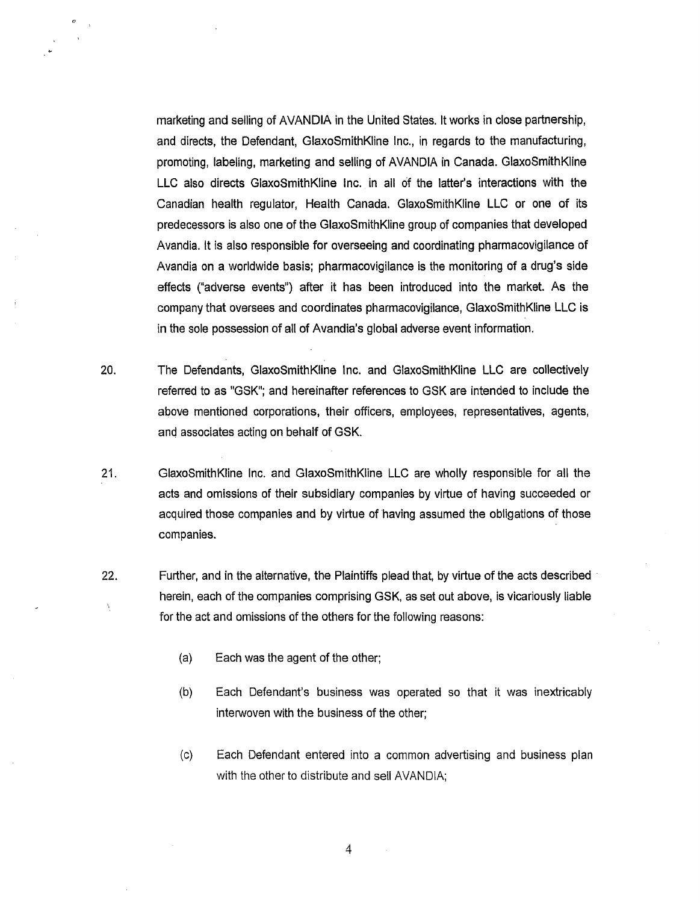marketing and selling of AVANDIA in the United States. It works in close partnership, and directs, the Defendant, GlaxoSmithKline Inc., in regards to the manufacturing, promoting, labeling, marketing and selling of AVANDIA in Canada. GlaxoSmithKline LLC also directs GlaxoSmithKline Inc. in all of the latter's interactions with the Canadian health regulator, Health Canada. GlaxoSmithKline LLC or one of its predecessors is also one of the GlaxoSmithKline group of companies that developed Avandia. It is also responsible for overseeing and coordinating pharmacovigilance of Avandia on a worldwide basis; pharmacovigilance is the monitoring of a drug's side effects ("adverse events") after it has been introduced into the market. As the company that oversees and coordinates pharmacovigilance, GlaxoSmithKline LLC is in the sole possession of all of Avandia's global adverse event information.

- 20. The Defendants, GlaxoSmithKline Inc. and GlaxoSmithKline LLC are collectively referred to as "GSK"; and hereinafter references to GSK are intended to include the above mentioned corporations, their officers, employees, representatives, agents, and associates acting on behalf of GSK.
- 21. GlaxoSmithKline Inc. and GlaxoSmithKline LLC are wholly responsible for all the acts and omissions of their subsidiary companies by virtue of having succeeded or acquired those companies and by virtue of having assumed the obligations of those companies.
- 22. Further, and in the alternative, the Plaintiffs plead that, by virtue of the acts described herein, each of the companies comprising GSK, as set out above, is vicariously liable for the act and omissions of the others for the following reasons:
	- (a) Each was the agent of the other;
	- (b) Each Defendant's business was operated so that it was inextricably interwoven with the business of the other;
	- (c) Each Defendant entered into a common advertising and business plan with the other to distribute and sell AVANDIA;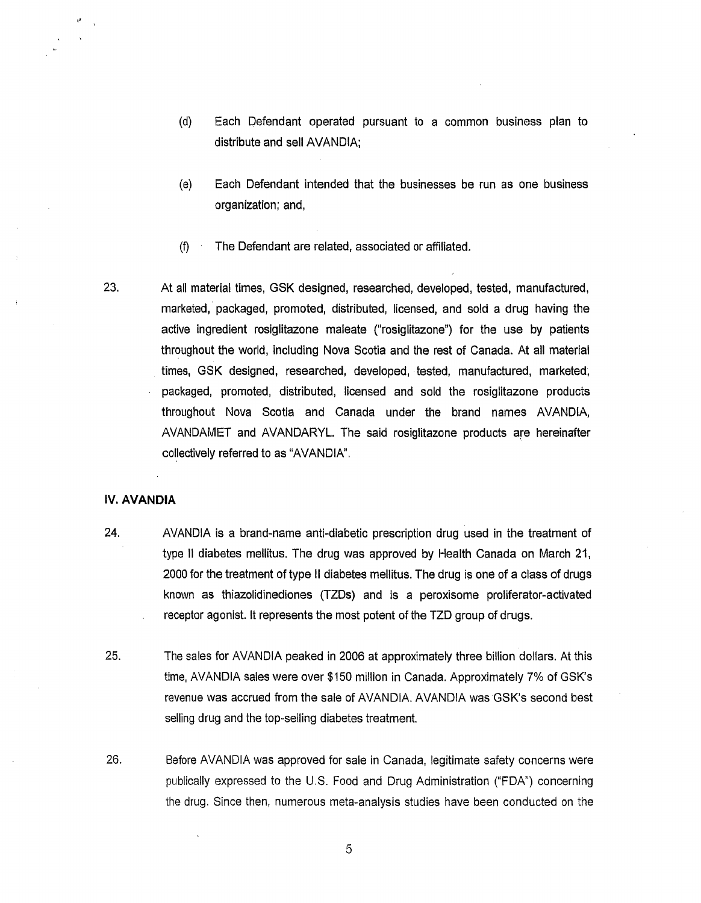- (d) Each Defendant operated pursuant to a common business plan to distribute and sell AVANDIA;
- (e) Each Defendant intended that the businesses be run as one business organization; and,
- (f) The Defendant are related, associated or affiliated.
- 23. At all material times, GSK designed, researched, developed, tested, manufactured, marketed, packaged, promoted, distributed, licensed, and sold a drug having the active ingredient rosiglitazone maleate ("rosiglitazone") for the use by patients throughout the world, including Nova Scotia and the rest of Canada. At all material times, GSK designed, researched, developed, tested, manufactured, marketed, packaged, promoted, distributed, licensed and sold the rosiglitazone products throughout Nova Scotia and Canada under the brand names AVANDIA, AVANDAMET and AVANDARYL. The said rosiglitazone products are hereinafter collectively referred to as "AVANDIA".

#### IV. **AVANDIA**

,,

- 24. AVANDIA is a brand-name anti-diabetic prescription drug used in the treatment of type II diabetes mellitus. The drug was approved by Health Canada on March 21, 2000 for the treatment of type 11 diabetes mellitus. The drug is one of a class of drugs known as thiazolidinediones (TZDs) and is a peroxisome proliferator-activated receptor agonist. It represents the most potent of the TZD group of drugs.
- 25. The sales for AVANDIA peaked in 2006 at approximately three billion dollars. At this time, AVANDIA sales were over \$150 million in Canada. Approximately 7% of GSK's revenue was accrued from the sale of AVANDlA. AVANDIA was GSK's second best selling drug and the top-selling diabetes treatment.
- 26. Before AVANDIA was approved for sale in Canada, legitimate safety concerns were publically expressed to the U.S. Food and Drug Administration ("FDA") concerning the drug. Since then, numerous meta-analysis studies have been conducted on the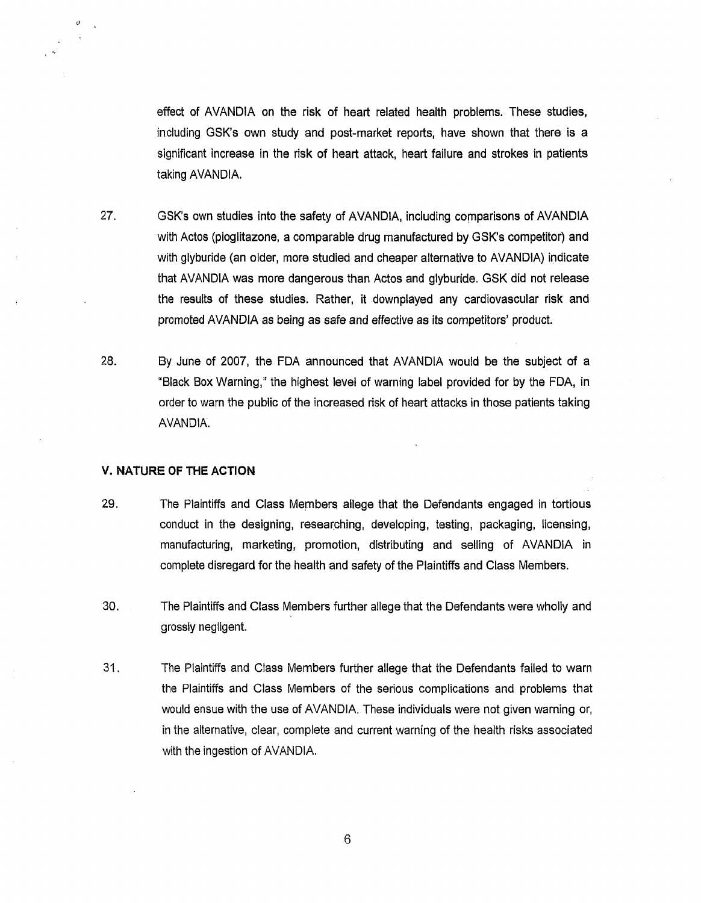effect of AVANDIA on the risk of heart related health problems. These studies, including GSK's own study and post-market reports, have shown that there is a significant increase in the risk of heart attack, heart failure and strokes in patients taking AVANDIA.

- 27. GSK's own studies into the safety of AVANDIA, including comparisons of AVANDIA with Actos (pioglitazone, a comparable drug manufactured by GSK's competitor) and with glyburide (an older, more studied and cheaper alternative to AVANDIA) indicate that AVANDIA was more dangerous than Actos and glyburide. GSK did not release the results of these studies. Rather, it downplayed any cardiovascular risk and promoted AVANDIA as being as safe and effective as its competitors' product.
- 28. By June of 2007, the FDA announced that AVANDIA would be the subject of a "Black Box Warning," the highest level of warning label provided for by the FDA, in order to warn the public of the increased risk of heart attacks in those patients taking AVANDIA.

#### **V. NATURE OF THE ACTION**

 $\mathbf{a}$ 

- 29. The Plaintiffs and Class Members allege that the Defendants engaged in tortious conduct in the designing, researching, developing, testing, packaging, licensing, manufacturing, marketing, promotion, distributing and selling of AVANDIA in complete disregard for the health and safety of the Plaintiffs and Class Members.
- 30. The Plaintiffs and Class Members further allege that the Defendants were wholly and grossly negligent.
- 31. The Plaintiffs and Class Members further allege that the Defendants failed to warn the Plaintiffs and Class Members of the serious complications and problems that would ensue with the use of AVANDIA. These individuals were not given warning or, in the alternative, clear, complete and current warning of the health risks associated with the ingestion of AVANDIA.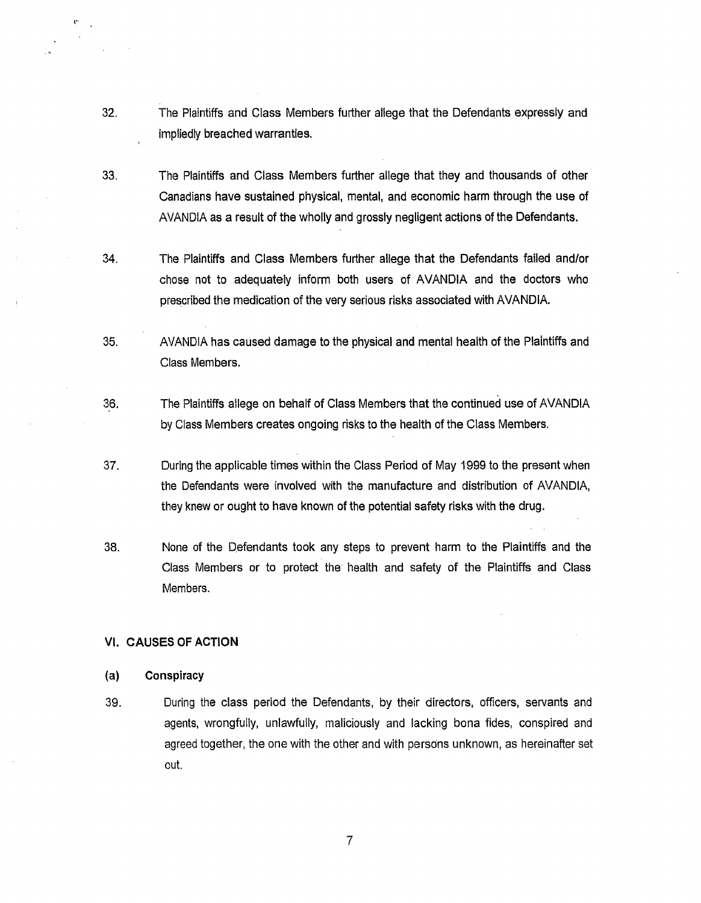- 32. The Plaintiffs and Class Members further allege that the Defendants expressly and impliedly breached warranties.
- 33. The Plaintiffs and Class Members further allege that they and thousands of other Canadians have sustained physical, mental, and economic harm through the use of AVANDIA as a result of the wholly and grossly negligent actions of the Defendants.
- 34. The Plaintiffs and Class Members further allege that the Defendants failed and/or chose not to adequately inform both users of AVANDIA and the doctors who prescribed the medication of the very serious risks associated with AVANDIA.
- 35. AVANDIA has caused damage to the physical and mental health of the Plaintiffs and Class Members.
- 36. The Plaintiffs allege on behalf of Class Members that the continued use of AVANDIA by Class Members creates ongoing risks to the health of the Class Members.
- 37. During the applicable times within the Class Period of May 1999 to the present when the Defendants were involved with the manufacture and distribution of AVANDIA, they knew or ought to have known of the potential safety risks with the drug.
- 38. None of the Defendants took any steps to prevent harm to the Plaintiffs and the Class Members or to protect the health and safety of the Plaintiffs and Class Members.

### VI. CAUSES OF ACTION

#### (a) Conspiracy

(''

39. During the class period the Defendants, by their directors, officers, servants and agents, wrongfully, unlawfully, maliciously and lacking bona fides, conspired and agreed together, the one with the other and with persons unknown, as hereinafter set out.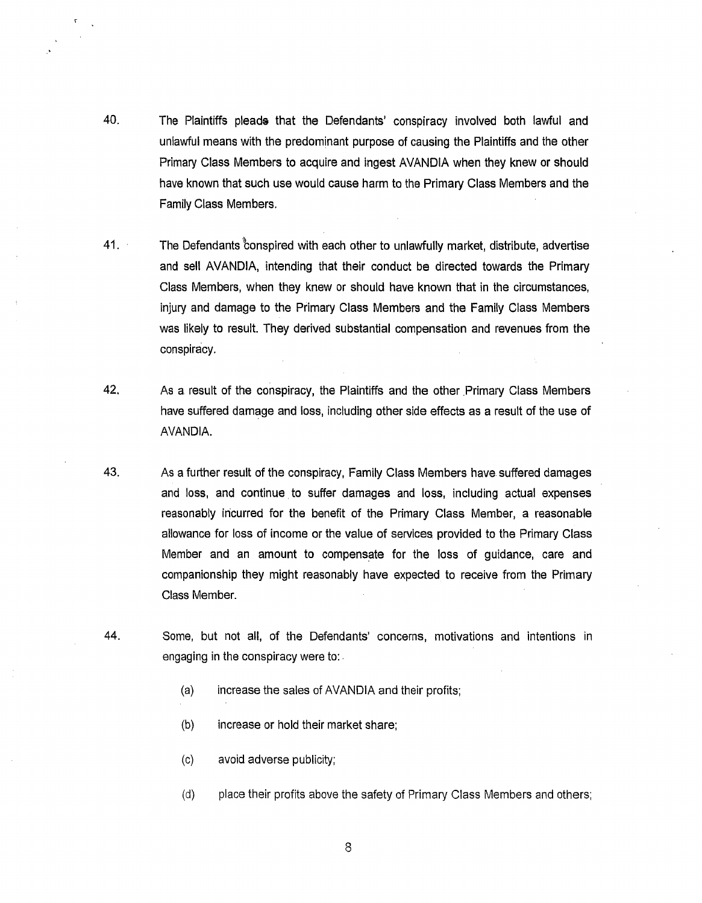- 40. The Plaintiffs pleads that the Defendants' conspiracy involved both lawful and unlawful means with the predominant purpose of causing the Plaintiffs and the other Primary Class Members to acquire and ingest AVANDIA when they knew or should have known that such use would cause harm to the Primary Class Members and the Family Class Members.
- 41. The Defendants conspired with each other to unlawfully market, distribute, advertise and sell AVANDIA, intending that their conduct be directed towards the Primary Class Members, when they knew or should have known that in the circumstances, injury and damage to the Primary Class Members and the Family Class Members was likely to result. They derived substantial compensation and revenues from the conspiracy.
- 42. As a result of the conspiracy, the Plaintiffs and the other Primary Class Members have suffered damage and loss, including other side effects as a result of the use of AVANDIA.
- 43. As a further result of the conspiracy, Family Class Members have suffered damages and loss, and continue to suffer damages and loss, including actual expenses reasonably incurred for the benefit of the Primary Class Member, a reasonable allowance for loss of income or the value of services provided to the Primary Class Member and an amount to compensate for the loss of guidance, care and companionship they might reasonably have expected to receive from the Primary Class Member.
- 44. Some, but not all, of the Defendants' concerns, motivations and intentions in engaging in the conspiracy were to: .
	- (a) increase the sales of AVANDIA and their profits;
	- (b) increase or hold their market share;
	- (c) avoid adverse publicity;
	- (d) place their profits above the safety of Primary Class Members and others;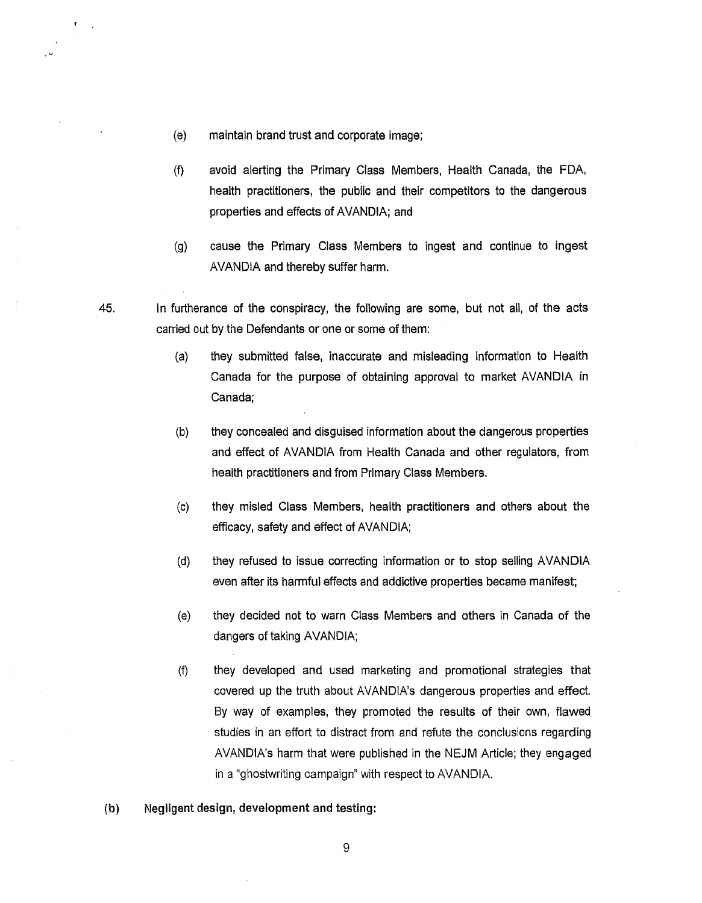(e) maintain brand trust and corporate image;

 $\pmb{\mathfrak{r}}$ 

- (f) avoid alerting the Primary Class Members, Health Canada, the FDA, health practitioners, the public and their competitors to the dangerous properties and effects of AVANDIA; and
- (g) cause the Primary Class Members to ingest and continue to ingest AVANDIA and thereby suffer harm.
- 45. In furtherance of the conspiracy, the following are some, but not all, of the acts carried out by the Defendants or one or some of them:
	- (a) they submitted false, inaccurate and misleading information to Health Canada for the purpose of obtaining approval to market AVANDIA in Canada;
	- (b) they concealed and disguised information about the dangerous properties and effect of AVANDIA from Health Canada and other regulators, from health practitioners and from Primary Class Members.
	- (c) they misled Class Members, health practitioners and others about the efficacy, safety and effect of AVANDIA;
	- (d) they refused to issue correcting information or to stop selling AVANDIA even after its harmful effects and addictive properties became manifest;
	- (e) they decided not to warn Class Members and others in Canada of the dangers of taking AVANDIA;
	- (f) they developed and used marketing and promotional strategies that covered up the truth about AVANDIA's dangerous properties and effect. By way of examples, they promoted the results of their own, flawed studies in an effort to distract from and refute the conclusions regarding AVANDIA's harm that were published in the NEJM Article; they engaged in a "ghostwriting campaign" with respect to AVANDIA.
- (b) Negligent design, development and testing: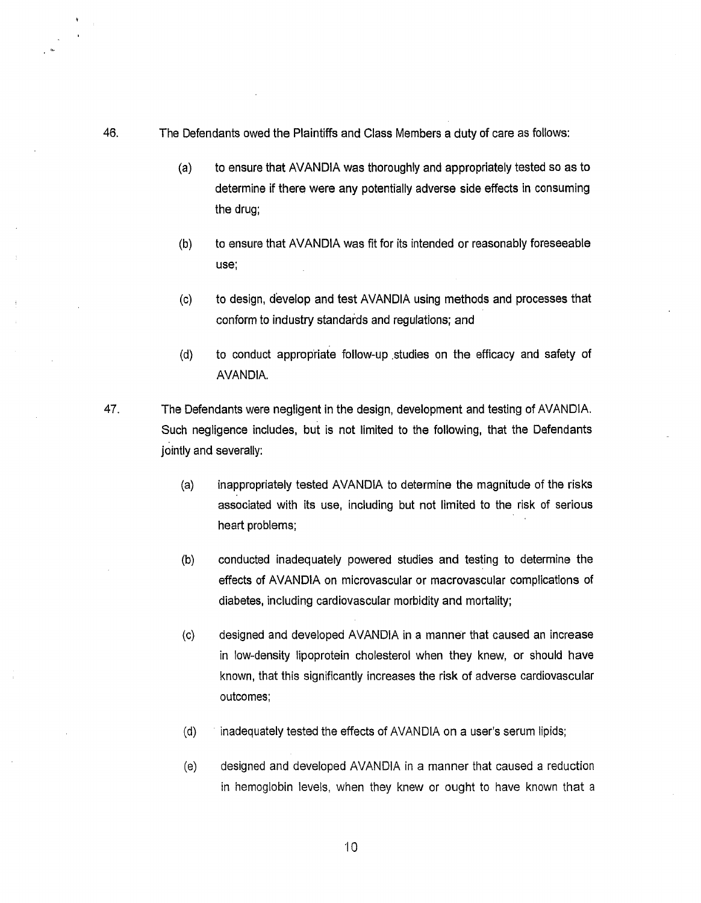- 46. The Defendants owed the Plaintiffs and Class Members a duty of care as follows:
	- (a) to ensure that AVANDIA was thoroughly and appropriately tested so as to determine if there were any potentially adverse side effects in consuming the drug;
	- (b) to ensure that AVANDIA was fit for its intended or reasonably foreseeable use;
	- (c) to design, develop and test AVANDIA using methods and processes that conform to industry standards and regulations; and
	- (d) to conduct appropriate follow-up .studies on the efficacy and safety of AVANDIA.
- 47. The Defendants were negligent in the design, development and testing of AVANDIA. Such negligence includes, but is not limited to the following, that the Defendants jointly and severally:
	- (a) inappropriately tested AVANDIA to determine the magnitude of the risks associated with its use, including but not limited to the risk of serious heart problems;
	- (b) conducted inadequately powered studies and testing to determine the effects of AVANDIA on microvascular or macrovascular complications of diabetes, including cardiovascular morbidity and mortality;
	- (c) designed and developed AVANDIA in a manner that caused an increase in low-density lipoprotein cholesterol when they knew, or should have known, that this significantly increases the risk of adverse cardiovascular outcomes;
	- (d) inadequately tested the effects of AVANDIA on a user's serum lipids;

iO

(e) designed and developed AVANDIA in a manner that caused a reduction in hemoglobin levels, when they knew or ought to have known that a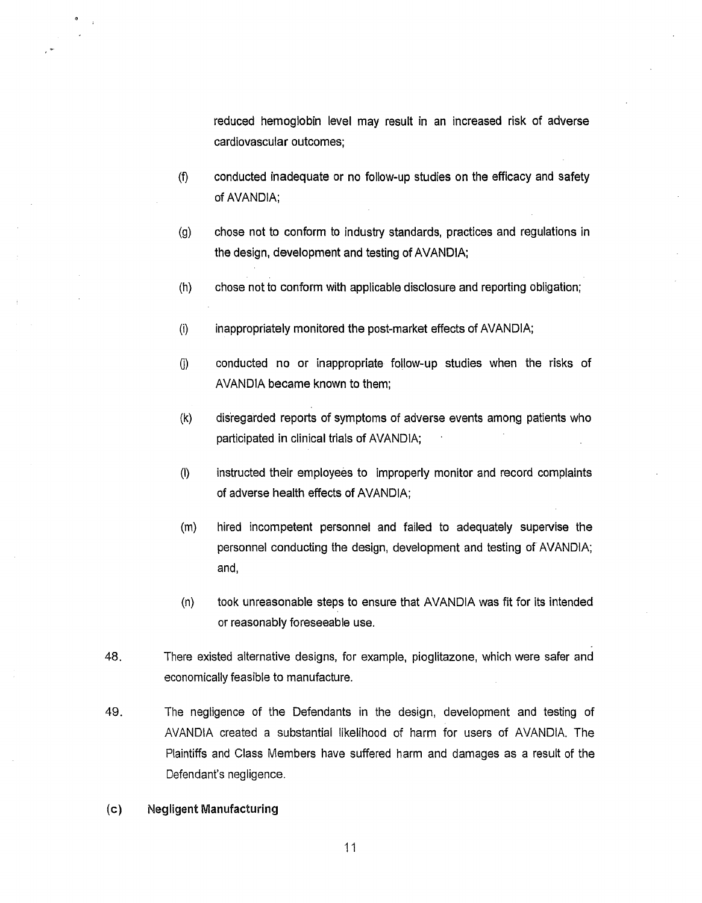reduced hemoglobin level may result in an increased risk of adverse cardiovascular outcomes;

- (f) conducted inadequate or no follow-up studies on the efficacy and safety of AVANDIA;
- (g) chose not to conform to industry standards, practices and regulations in the design, development and testing of AVANDIA;
- (h) chose not to conform with applicable disclosure and reporting obligation;
- (i) inappropriately monitored the post-market effects of AVANDIA;
- (i) conducted no or inappropriate follow-up studies when the risks of AVANDIA became known to them;
- (k) disregarded reports of symptoms of adverse events among patients who participated in clinical trials of AVANDIA;
- (I) instructed their employees to improperly monitor and record complaints of adverse health effects of AVANDIA;
- (m) hired incompetent personnel and failed to adequately supervise the personnel conducting the design, development and testing of AVANDIA; and,
- (n) took unreasonable steps to ensure that AVANDIA was fit for its intended or reasonably foreseeable use.
- 48. There existed alternative designs, for example, pioglitazone, which were safer and economically feasible to manufacture.
- 49. The negligence of the Defendants in the design, development and testing of AVANDIA created a substantial likelihood of harm for users of AVANDIA. The Plaintiffs and Class Members have suffered harm and damages as a result of the Defendant's negligence.
- (c) Negligent Manufacturing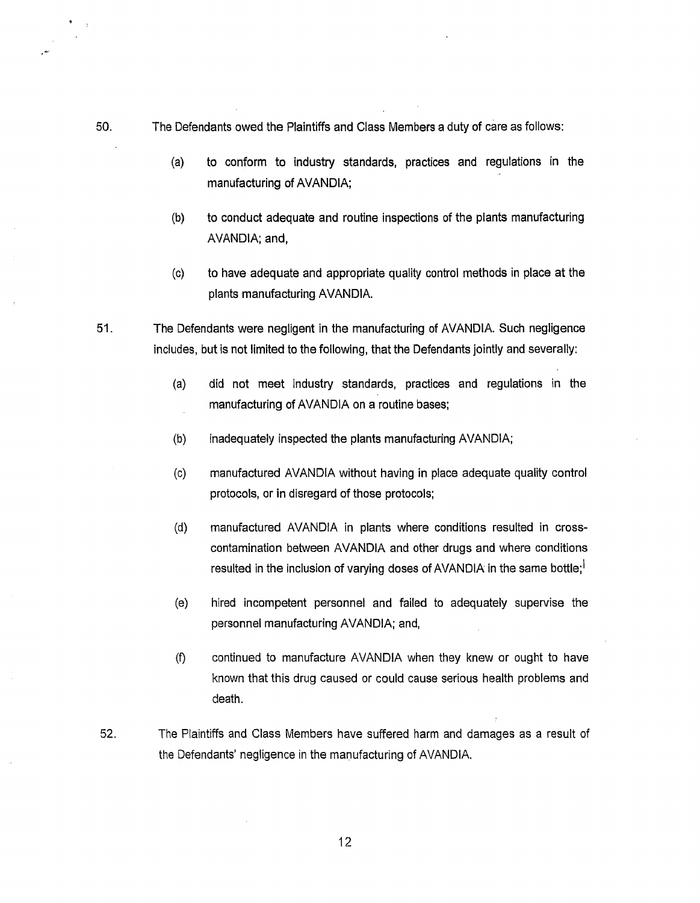- 50. The Defendants owed the Plaintiffs and Class Members a duty of care as follows:
	- (a) to conform to industry standards, practices and regulations in the manufacturing of AVANDIA;
	- (b) to conduct adequate and routine inspections of the plants manufacturing AVANDIA; and,
	- (c) to have adequate and appropriate quality control methods in place at the plants manufacturing AVANDIA.
- 51. The Defendants were negligent in the manufacturing of AVANDIA. Such negligence includes, but is not limited to the following, that the Defendants jointly and severally:
	- (a) did not meet industry standards, practices and regulations in the manufacturing of AVANDIA on a routine bases;
	- (b) inadequately inspected the plants manufacturing AVANDIA;
	- (c) manufactured AVANDIA without having in place adequate quality control protocols, or in disregard of those protocols;
	- (d) manufactured AVANDIA in plants where conditions resulted in crosscontamination between AVANDIA and other drugs and where conditions resulted in the inclusion of varying doses of AVANDIA in the same bottle;<sup>1</sup>
	- (e) hired incompetent personnel and failed to adequately supervise the personnel manufacturing AVANDIA; and,
	- (f) continued to manufacture AVANDIA when they knew or ought to have known that this drug caused or could cause serious health problems and death.
- 52. The Plaintiffs and Class Members have suffered harm and damages as a result of the Defendants' negligence in the manufacturing of AVANDIA.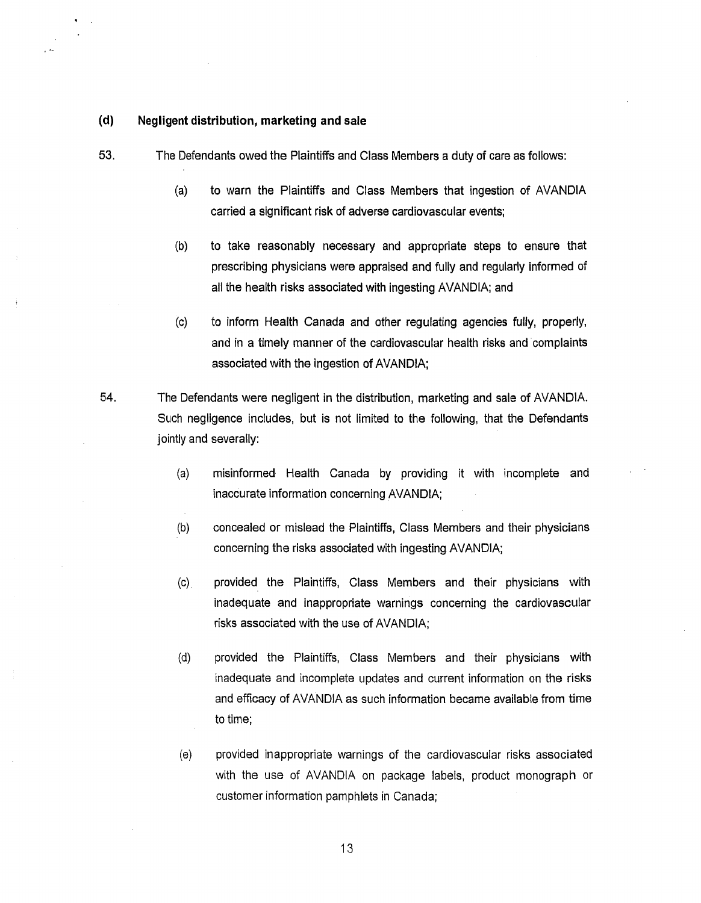## **(d) Negligent distribution, marketing and sale**

. ·-

- 53. The Defendants owed the Plaintiffs and Class Members a duty of care as follows:
	- (a) to warn the Plaintiffs and Class Members that ingestion of AVANDIA carried a significant risk of adverse cardiovascular events;
	- (b) to take reasonably necessary and appropriate steps to ensure that prescribing physicians were appraised and fully and regularly informed of all the health risks associated with ingesting AVANDIA; and
	- (c) to inform Health Canada and other regulating agencies fully, properly, and in a timely manner of the cardiovascular health risks and complaints associated with the ingestion of AVANDIA;
- 54. The Defendants were negligent in the distribution, marketing and sale of AVANDIA. Such negligence includes, but is not limited to the following, that the Defendants jointly and severally:
	- (a) misinformed Health Canada by providing it with incomplete and inaccurate information concerning AVANDIA;
	- (b) concealed or mislead the Plaintiffs, Class Members and their physicians concerning the risks associated with ingesting AVANDIA;
	- (c) provided the Plaintiffs, Class Members and their physicians with inadequate and inappropriate warnings concerning the cardiovascular risks associated with the use of AVANDIA;
	- (d) provided the Plaintiffs, Class Members and their physicians with inadequate and incomplete updates and current information on the risks and efficacy of AVANDIA as such information became available from time to time;
	- (e) provided inappropriate warnings of the cardiovascular risks associated with the use of AVANDIA on package labels, product monograph or customer information pamphlets in Canada;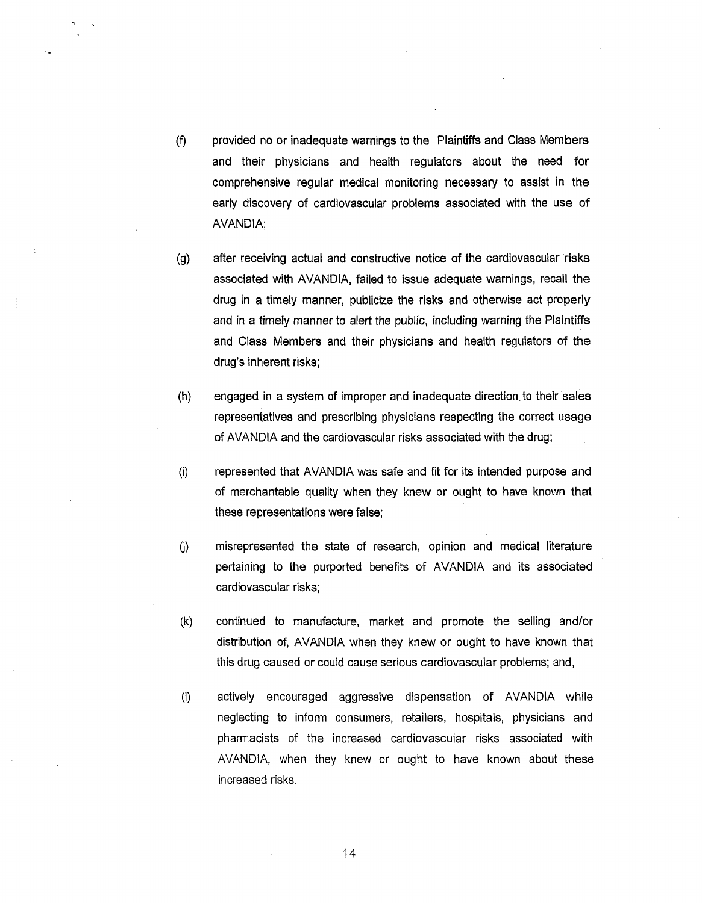- (f) provided no or inadequate warnings to the Plaintiffs and Class Members and their physicians and health regulators about the need for comprehensive regular medical monitoring necessary to assist in the early discovery of cardiovascular problems associated with the use of AVANDIA;
- (g) after receiving actual and constructive notice of the cardiovascular risks associated with AVANDIA, failed to issue adequate warnings, recall· the drug in a timely manner, publicize the risks and otherwise act properly and in a timely manner to alert the public, including warning the Plaintiffs and Class Members and their physicians and health regulators of the drug's inherent risks;
- (h) engaged in a system of improper and inadequate direction. to their sales representatives and prescribing physicians respecting the correct usage of AVANDIA and the cardiovascular risks associated with the drug;
- (i) represented that AVANDIA was safe and fit for its intended purpose and of merchantable quality when they knew or ought to have known that these representations were false;
- (i) misrepresented the state of research, opinion and medical literature pertaining to the purported benefits of AVANDIA and its associated cardiovascular risks;
- (k) · continued to manufacture, market and promote the selling and/or distribution of, AVANDIA when they knew or ought to have known that this drug caused or could cause serious cardiovascular problems; and,
- (I) actively encouraged aggressive dispensation of AVANDIA while neglecting to inform consumers, retailers, hospitals, physicians and pharmacists of the increased cardiovascular risks associated with AVANDIA, when they knew or ought to have known about these increased risks.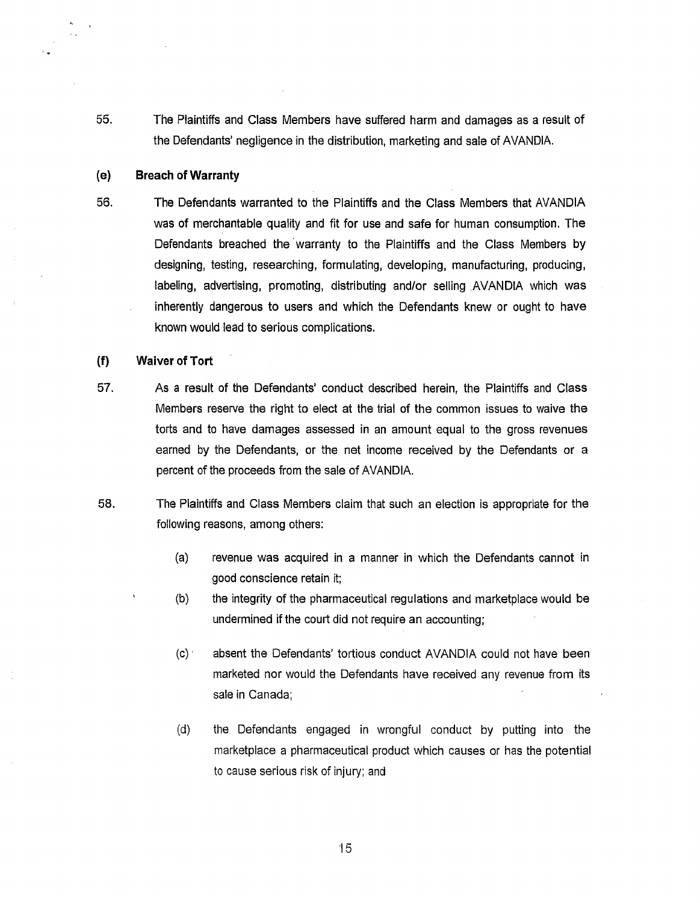55. The Plaintiffs and Class Members have suffered harm and damages as a result of the Defendants' negligence in the distribution, marketing and sale of AVANDIA.

#### (e) **Breach of Warranty**

56. The Defendants warranted to the Plaintiffs and the Class Members that AVANDIA was of merchantable quality and fit for use and safe for human consumption. The Defendants breached the warranty to the Plaintiffs and the Class Members by designing, testing, researching, formulating, developing, manufacturing, producing, labeling, advertising, promoting, distributing and/or selling AVANDIA which was inherently dangerous to users and which the Defendants knew or ought to have known would lead to serious complications.

## **(f) Waiver of Tort**

- 57. As a result of the Defendants' conduct described herein, the Plaintiffs and Class Members reserve the right to elect at the trial of the common issues to waive the torts and to have damages assessed in an amount equal to the gross revenues earned by the Defendants, or the net income received by the Defendants or a percent of the proceeds from the sale of AVANDIA.
- 58. The Plaintiffs and Class Members claim that such an election is appropriate for the following reasons, among others:
	- (a) revenue was acquired in a manner in which the Defendants cannot in good conscience retain it;
	- (b) the integrity of the pharmaceutical regulations and marketplace would be undermined if the court did not require an accounting;
	- (c) · absent the Defendants' tortious conduct AVANDIA could not have been marketed nor would the Defendants have received any revenue from its sale in Canada;
	- (d) the Defendants engaged in wrongful conduct by putting into the marketplace a pharmaceutical product which causes or has the potential to cause serious risk of injury; and

·15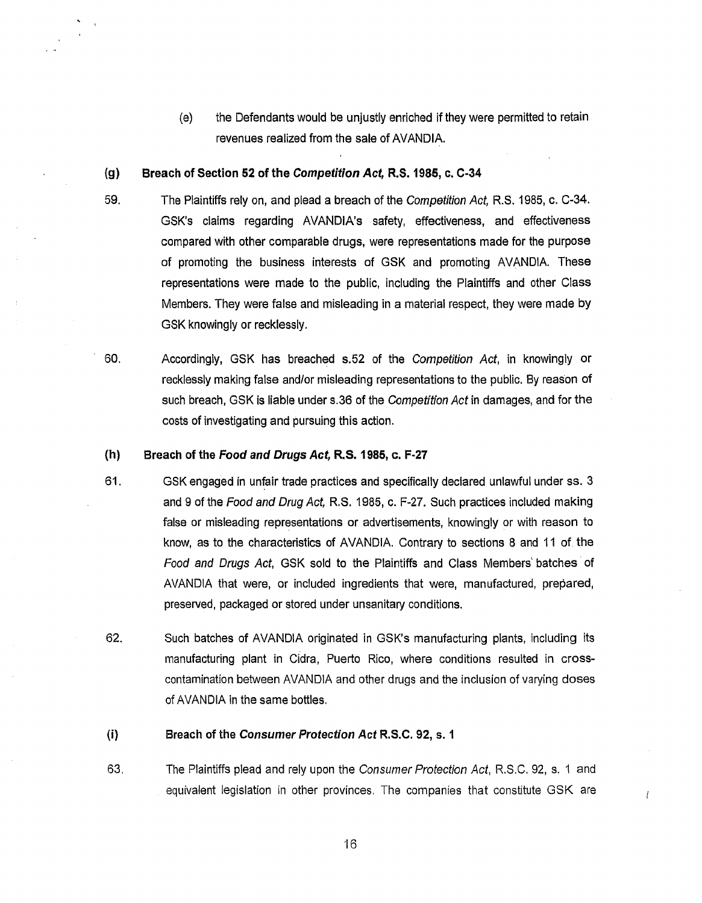(e) the Defendants would be unjustly enriched if they were permitted to retain revenues realized from the sale of AVANDIA.

#### (g) Breach of Section 52 of the Competition Act, R.S. 1985, c. C-34

- 59. The Plaintiffs rely on, and plead a breach of the Competition Act, R.S. 1985, c. C-34. GSK's claims regarding AVANDIA's safety, effectiveness, and effectiveness compared with other comparable drugs, were representations made for the purpose of promoting the business interests of GSK and promoting AVANDIA These representations were made to the public, including the Plaintiffs and other Class Members. They were false and misleading in a material respect, they were made by GSK knowingly or recklessly.
- 60. Accordingly, GSK has breached s.52 of the Competition Act, in knowingly or recklessly making false and/or misleading representations to the public. By reason of such breach, GSK is liable under s.36 of the *Competition Act* in damages, and for the costs of investigating and pursuing this action.

# (h) Breach of the Food and Drugs Act, R.S. 1985, c. F-27

- 61. GSK engaged in unfair trade practices and specifically declared unlawful under ss. 3 and 9 of the Food and Drug Act, R.S. 1985, c. F-27. Such practices included making false or misleading representations or advertisements, knowingly or with reason to know, as to the characteristics of AVANDIA. Contrary to sections 8 and 11 of the Food and Drugs Act, GSK sold to the Plaintiffs and Class Members' batches· of AVANDIA that were, or included ingredients that were, manufactured, prepared, preserved, packaged or stored under unsanitary conditions.
- 62. Such batches of AVANDIA originated in GSK's manufacturing plants, including its manufacturing plant in Cidra, Puerto Rico, where conditions resulted in crosscontamination between AVANDIA and other drugs and the inclusion of varying doses of AVANDIA in the same bottles.

## (i) Breach of the Consumer Protection Act R.S.C. 92, s. 1

63. The Plaintiffs plead and rely upon the Consumer Protection Act, R.S.C. 92, s. 1 and equivalent legislation in other provinces. The companies that constitute GSK are

ł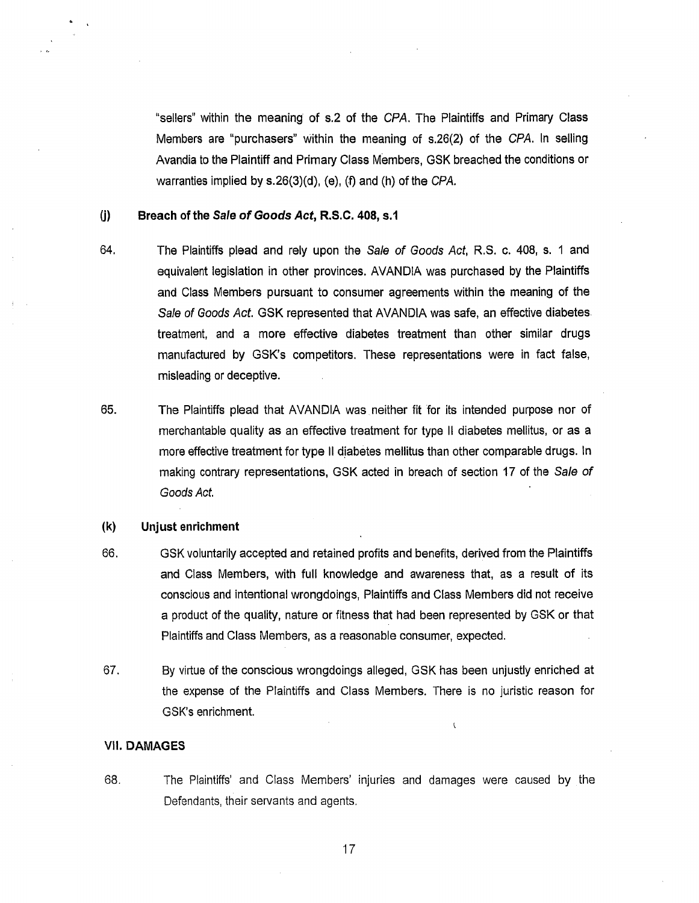"sellers" within the meaning of s.2 of the CPA. The Plaintiffs and Primary Class Members are "purchasers" within the meaning of s.26(2) of the CPA. In selling Avandia to the Plaintiff and Primary Class Members, GSK breached the conditions or warranties implied by s.26(3)(d), (e), (f) and (h) of the CPA.

### **(j) Breach of the Sale of Goods Act, R.S.C. 408, s.1**

- 64. The Plaintiffs plead and rely upon the Sale of Goods Act, R.S. c. 408, s. 1 and equivalent legislation in other provinces. AVANDIA was purchased by the Plaintiffs and Class Members pursuant to consumer agreements within the meaning of the Sale of Goods Act. GSK represented that AVANDIA was safe, an effective diabetes treatment, and a more effective diabetes treatment than other similar drugs manufactured by GSK's competitors. These representations were in fact false, misleading or deceptive.
- 65. The Plaintiffs plead that AVANDIA was neither fit for its intended purpose nor of merchantable quality as an effective treatment for type II diabetes mellitus, or as a more effective treatment for type II diabetes mellitus than other comparable drugs. In making contrary representations, GSK acted in breach of section 17 of the Sale of Goods Act.

#### (k) **Unjust enrichment**

- 66. GSK voluntarily accepted and retained profits and benefits, derived from the Plaintiffs and Class Members, with full knowledge and awareness that, as a result of its conscious and intentional wrongdoings, Plaintiffs and Class Members did not receive a product of the quality, nature or fitness that had been represented by GSK or that Plaintiffs and Class Members, as a reasonable consumer, expected.
- 67. By virtue of the conscious wrongdoings alleged, GSK has been unjustly enriched at the expense of the Plaintiffs and Class Members. There is no juristic reason for GSK's enrichment.

 $\overline{\mathbf{C}}$ 

## VII. **DAMAGES**

68. The Plaintiffs' and Class Members' injuries and damages were caused by the Defendants, their servants and agents.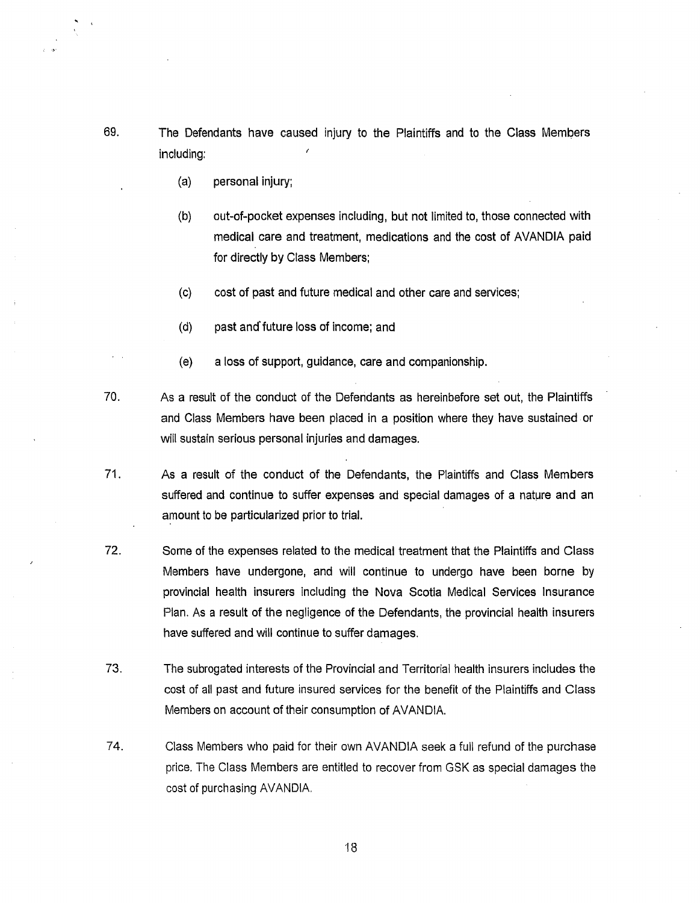- 69. The Defendants have caused injury to the Plaintiffs and to the Class Members including:
	- (a) personal injury;
	- (b) out-of-pocket expenses including, but not limited to, those connected with medical care and treatment, medications and the cost of AVANDIA paid for directly by Class Members;
	- (c) cost of past and future medical and other care and services;
	- (d) past and' future loss of income; and
	- (e) a loss of support, guidance, care and companionship.
- 70. As a result of the conduct of the Defendants as hereinbefore set out, the Plaintiffs and Class Members have been placed in a position where they have sustained or will sustain serious personal injuries and damages.
- 71. As a result of the conduct of the Defendants, the Plaintiffs and Class Members suffered and continue to suffer expenses and special damages of a nature and an amount to be particularized prior to trial.
- 72. Some of the expenses related to the medical treatment that the Plaintiffs and Class Members have undergone, and will continue to undergo have been borne by provincial health insurers including the Nova Scotia Medical Services Insurance Plan. As a result of the negligence of the Defendants, the provincial health insurers have suffered and will continue to suffer damages.
- 73. The subrogated interests of the Provincial and Territorial health insurers includes the cost of all past and future insured services for the benefit of the Plaintiffs and Class Members on account of their consumption of AVANDIA.
- 74. Class Members who paid for their own AVANDIA seek a full refund of the purchase price. The Class Members are entitled to recover from GSK as special damages the cost of purchasing AVANDIA.

'18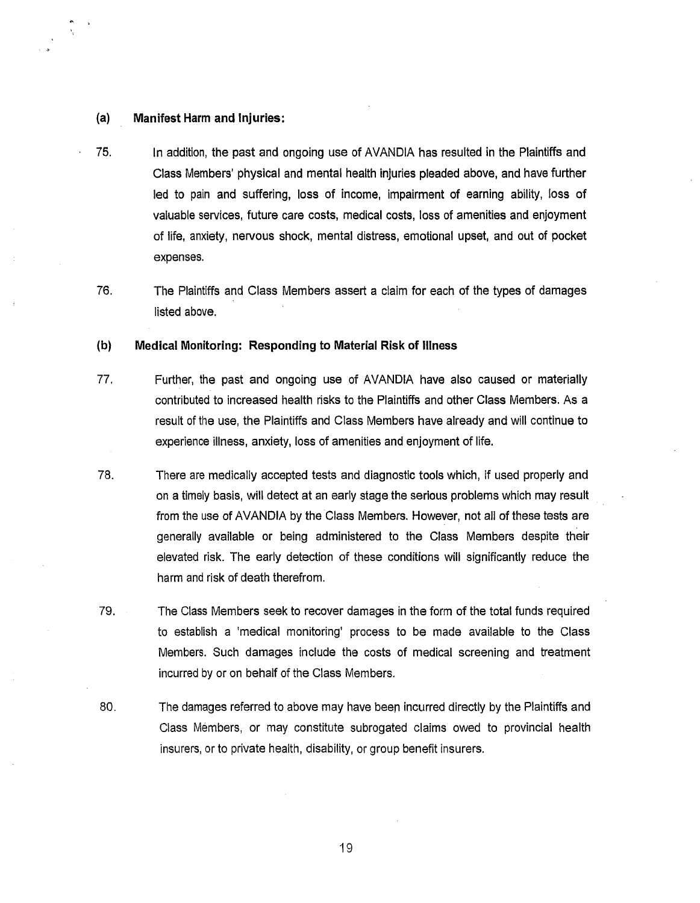#### **(a) Manifest Harm and Injuries:**

- 75. In addition, the past and ongoing use of AVANDIA has resulted in the Plaintiffs and Class Members' physical and mental health injuries pleaded above, and have further led to pain and suffering, loss of income, impairment of earning ability, loss of valuable services, future care costs, medical costs, loss of amenities and enjoyment of life, anxiety, nervous shock, mental distress, emotional upset, and out of pocket expenses.
- 76. The Plaintiffs and Class Members assert a claim for each of the types of damages listed above.

# **{b) Medical Monitoring: Responding to Material Risk of Illness**

- 77. Further, the past and ongoing use of AVANDIA have also caused or materially contributed to increased health risks to the Plaintiffs and other Class Members. As a result of the use, the Plaintiffs and Class Members have already and will continue to experience illness, anxiety, loss of amenities and enjoyment of life.
- 78. There are medically accepted tests and diagnostic tools which, if used properly and on a timely basis, will detect at an early stage the serious problems which may result from the use of AVANDIA by the Class Members. However, not all of these tests are generally available or being administered to the Class Members despite their elevated risk. The early detection of these conditions will significantly reduce the harm and risk of death therefrom.
- 79. The Class Members seek to recover damages in the form of the total funds required to establish a 'medical monitoring' process to be made available to the Class Members. Such damages include the costs of medical screening and treatment incurred by or on behalf of the Class Members.
- 80. The damages referred to above may have been incurred directly by the Plaintiffs and Class Members, or may constitute subrogated claims owed to provincial health insurers, or to private health, disability, or group benefit insurers.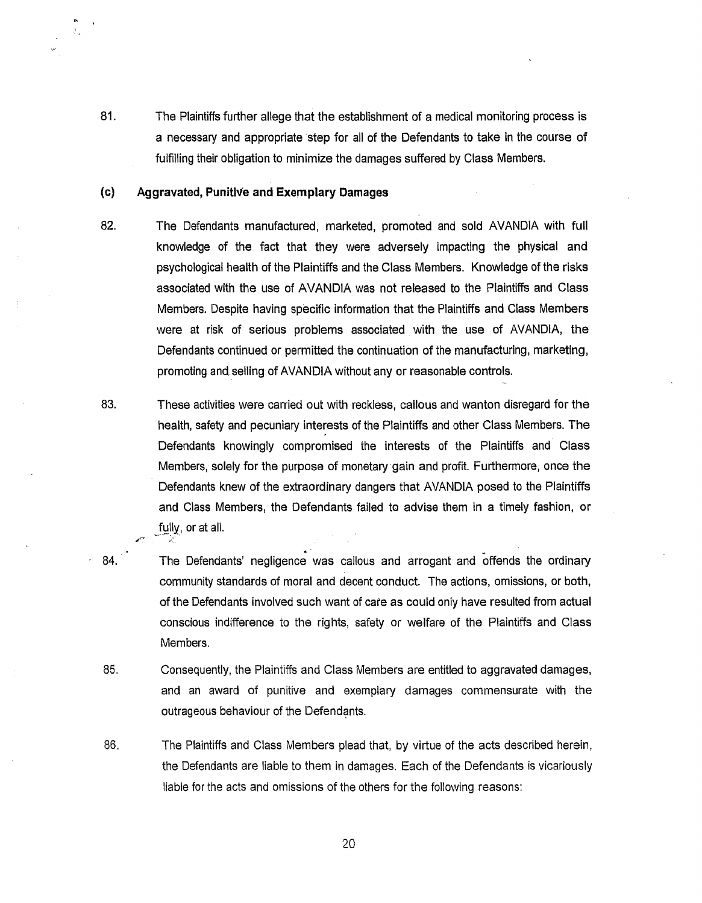81. The Plaintiffs further allege that the establishment of a medical monitoring process is a necessary and appropriate step for all of the Defendants to take in the course of fulfilling their obligation to minimize the damages suffered by Class Members.

### (c) Aggravated, Punitive and Exemplary Damages

.1"'·~

- 84.

- 82. The Defendants manufactured, marketed, promoted and sold AVANDIA with full knowledge of the fact that they were adversely impacting the physical and psychological health of the Plaintiffs and the Class Members. Knowledge of the risks associated with the use of AVANDIA was not released to the Plaintiffs and Class Members. Despite having specific information that the Plaintiffs and Class Members were at risk of serious problems associated with the use of AVANDIA, the Defendants continued or permitted the continuation of the manufacturing, marketing, promoting and. selling of AVANDIA without any or reasonable controls.
- 83. These activities were carried out with reckless, callous and wanton disregard for the health, safety and pecuniary interests of the Plaintiffs and other Class Members. The Defendants knowingly compromised the interests of the Plaintiffs and Class Members, solely for the purpose of monetary gain and profit. Furthermore, once the Defendants knew of the extraordinary dangers that AVANDIA posed to the Plaintiffs and Class Members, the Defendants failed to advise them in a timely fashion, or fully, or at all.
	- . . The Defendants' negligence was callous and arrogant and offends the ordinary community standards of moral and decent conduct. The actions, omissions, or both, of the Defendants involved such want of care as could only have resulted from actual conscious indifference to the rights, safety or welfare of the Plaintiffs and Class Members.
- 85. Consequently, the Plaintiffs and Class Members are entitled to aggravated damages, and an award of punitive and exemplary damages commensurate with the outrageous behaviour of the Defendants.
- 86. The Plaintiffs and Class Members plead that, by virtue of the acts described herein, the Defendants are liable to them in damages. Each of the Defendants is vicariously liable for the acts and omissions of the others for the following reasons: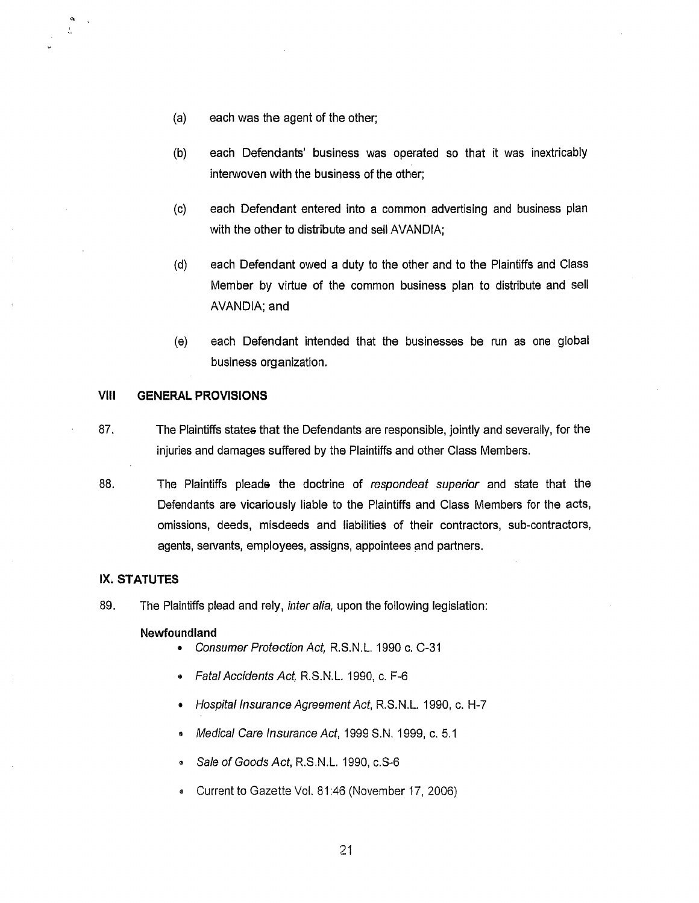- (a) each was the agent of the other;
- (b) each Defendants' business was operated so that it was inextricably interwoven with the business of the other;
- (c) each Defendant entered into a common advertising and business plan with the other to distribute and sell AVANDIA;
- (d) each Defendant owed a duty to the other and to the Plaintiffs and Class Member by virtue of the common business plan to distribute and sell AVANDIA; and
- (e) each Defendant intended that the businesses be run as one global business organization.

# **VIII GENERAL PROVISIONS**

- 87. The Plaintiffs states that the Defendants are responsible, jointly and severally, for the injuries and damages suffered by the Plaintiffs and other Class Members.
- 88. The Plaintiffs pleads the doctrine of respondeat superior and state that the Defendants are vicariously liable to the Plaintiffs and Class Members for the acts, omissions, deeds, misdeeds and liabilities of their contractors, sub-contractors, agents, servants, employees, assigns, appointees and partners.

## IX. **STATUTES**

 $^{\circ}$ 

89. The Plaintiffs plead and rely, inter alia, upon the following legislation:

#### **Newfoundland**

- Consumer Protection Act, R.S.N.L. 1990 c. C-31
- Fatal Accidents Act, R.S.N.L. 1990, c. F-6
- Hospital Insurance Agreement Act, R.S.N.L. 1990, c. H-7
- Medical Care Insurance Act, 1999 S.N. 1999, c. 5.1
- Sale of Goods Act, R.S.N.L. 1990, c.S-6
- **Current to Gazette Vol. 81:46 (November 17, 2006)**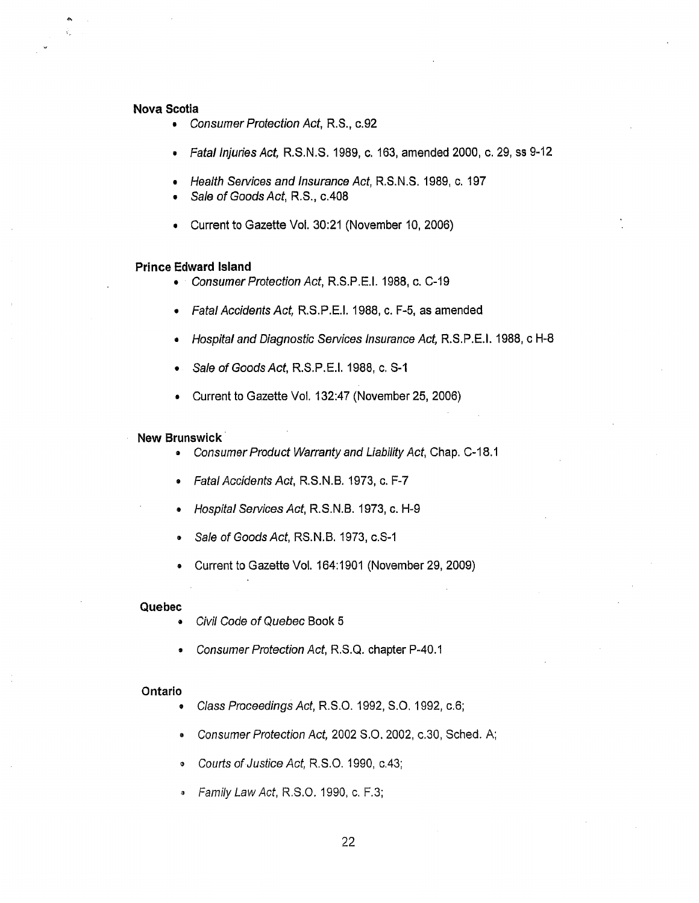# **Nova Scotia**

"

- Consumer Protection Act, R.S., c.92
- Fatal Injuries Act, R.S.N.S. 1989, c. 163, amended 2000, c. 29, ss 9-12
- Health Services and Insurance Act, R.S.N.S. 1989, c. 197
- Sale of Goods Act, R.S., c.408
- Current to Gazette Vol. 30:21 (November 10, 2006)

#### **Prince Edward Island**

- Consumer Protection Act, R.S.P.E.I. 1988, c. C-19
- Fatal Accidents Act, RS.P.E.I. 1988, c. F-5, as amended
- Hospital and Diagnostic Services Insurance Act, RS.P.E.I. 1988, c H-8
- Sale of Goods Act, R.S.P.E.I. 1988, c. S-1
- Current to Gazette Vol. 132:47 (November 25, 2006)

#### **New Brunswick** ·

- Consumer Product Warranty and Liability Act, Chap. C-18.1
- Fatal Accidents Act, R.S.N.B. 1973, c. F-7
- Hospital Services Act, R.S.N.B. 1973, c. H-9
- Sale of Goods Act, RS.N.B. 1973, c.S-1
- Current to Gazette Vol. 164:1901 (November 29, 2009)

#### **Quebec**

- Civil Code of Quebec Book 5
- Consumer Protection Act, R.S.Q. chapter P-40.1

#### **Ontario**

- Class Proceedings Act, R.S.O. 1992, S.O. 1992, c.6;
- Consumer Protection Act, 2002 S.O. 2002, c.30, Sched. A;
- Courts of Justice Act, R.S.O. 1990, c.43;
- Family Law Act, R.S.O. 1990, c. F.3;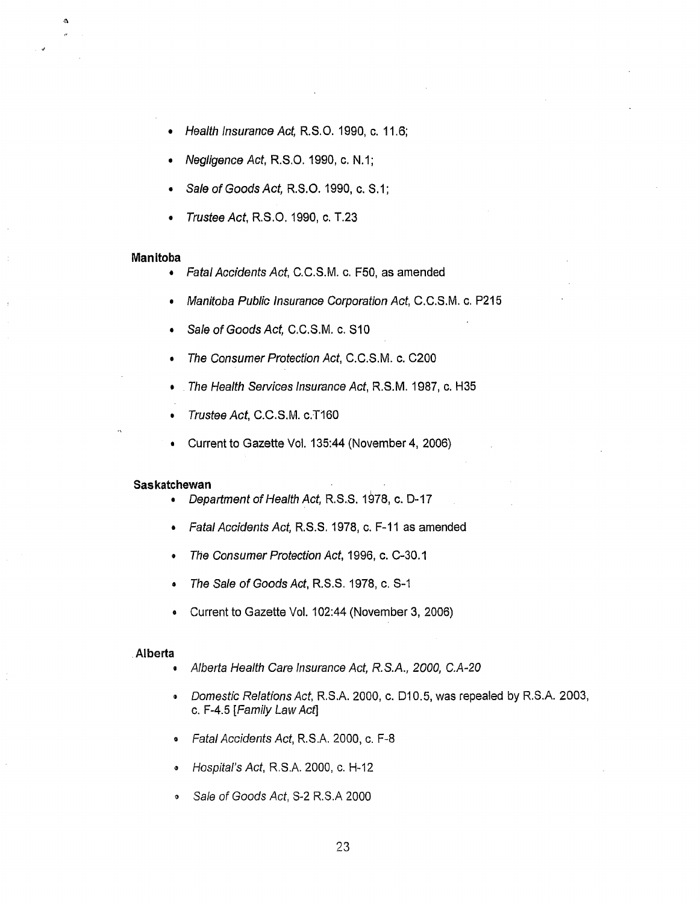- Health Insurance Act, R.S.0.1990, c.11.6;
- Negligence Act, R.S.O. 1990, c. N.1;
- Sale of Goods Act, R.S.O. 1990, c. S.1;
- Trustee Act, R.S.O. 1990, c. T.23

#### Manitoba

.,

 $\Omega$ 

- Fatal Accidents Act, C.C.S.M. c. F50, as amended
- Manitoba Public Insurance Corporation Act, C.C.S.M. c. P215
- Sale of Goods Act, C.C.S.M. c. S10
- The Consumer Protection Act, C.C.S.M. c. C200
- The Health Services Insurance Act, R.S.M. 1987, c. H35
- Trustee Act, C.C.S.M. c.T160
- Current to Gazette Vol. 135:44 (November 4, 2006)

#### Saskatchewan

- Department of Health Act, R.S.S. 1978, c. D-17
- Fatal Accidents Act, R.S.S. 1978, c. F-11 as amended
- The Consumer Protection Act, 1996, c. C-30.1
- The Sale of Goods Act, R.S.S. 1978, c. S-1
- Current to Gazette Vol. 102:44 (November 3, 2006)

#### .Alberta

- Alberta Health Care Insurance Act, R.S.A., 2000, C.A-20
- Domestic Relations Act, RS.A. 2000, c. 010.5, was repealed by R.S.A. 2003, c. F-4.5 [Family Law Act]
- **Fatal Accidents Act, R.S.A. 2000, c. F-8**
- Hospital's Act, R.S.A. 2000, c. H-12
- I') Sale of Goods Act, S-2 R.S.A 2000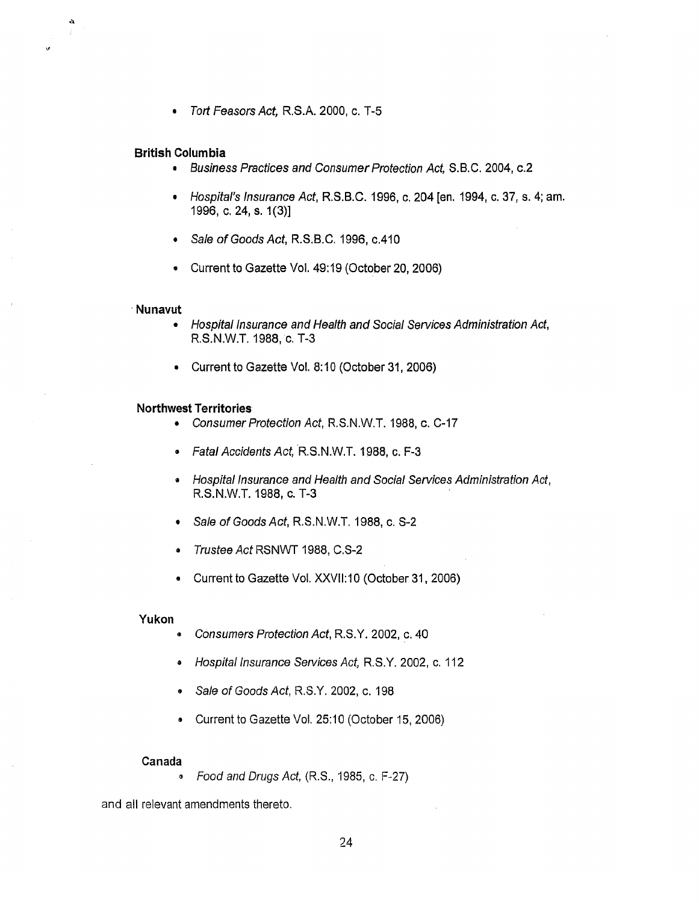• Tort Feasors Act, R.S.A. 2000, c. T-5

# **British Columbia**

 $\lambda$ 

,,

- Business Practices and Consumer Protection Act, S.B.C. 2004, c.2
- Hospital's Insurance Act, R.S.B.C. 1996, c. 204 [en. 1994, c. 37, s. 4; am. 1996, c. 24, s. 1(3)]
- Sale of Goods Act, R.S.B.C. 1996, c.410
- Current to Gazette Vol. 49:19 (October 20, 2006)

#### **·Nunavut**

- Hospital Insurance and Health and Social Services Administration Act, R.S.N.W.T. 1988, c. T-3
- Current to Gazette Vol. 8:10 (October 31, 2006)

#### **Northwest Territories**

- Consumer Protection Act, R.S.N.W.T. 1988, c. C-17
- Fatal Accidents Act, R.S.N.W.T. 1988, c. F-3
- Hospital Insurance and Health and Social Services Administration Act, R.S.N.W.T. 1988, c. T-3
- Sale of Goods Act, R.S.N.W.T. 1988, c. S-2
- Trustee Act RSNWT 1988, C.S-2
- Current to Gazette Vol. XXVll:10 (October 31, 2006)

#### **Yukon**

- Consumers Protection Act, R.S.Y. 2002, c. 40
- .. Hospital Insurance Services Act, R.S.Y. 2002, c. 112
- Sale of Goods Act, R.S.Y. 2002, c. 198
- Current to Gazette Vol. 25:10 (October 15, 2006)

#### Canada

<sup>~</sup>Food and Drugs Act, (R.S., 1985, c. F-27)

and all relevant amendments thereto.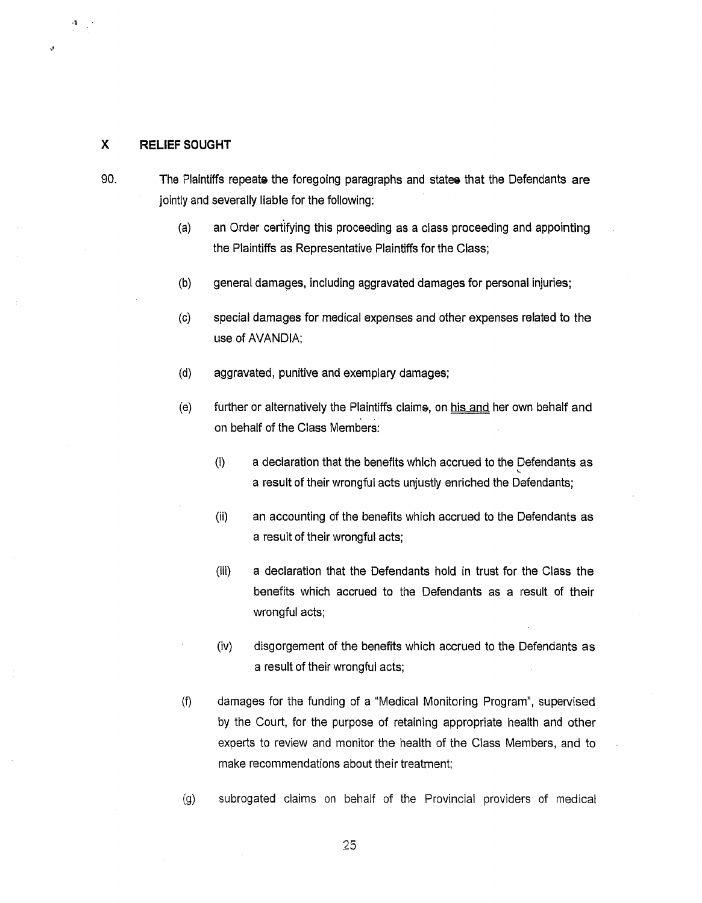## **X RELIEF SOUGHT**

··l

,,

90. The Plaintiffs repeats the foregoing paragraphs and states that the Defendants are jointly and severally liable for the following:

- (a) an Order cert'ifying this proceeding as a class proceeding and appointing the Plaintiffs as Representative Plaintiffs for the Class;
- (b) general damages, including aggravated damages for personal injuries;
- (c) special damages for medical expenses and other expenses related to the use of AVANDIA;
- (d) aggravated, punitive and exemplary damages;
- (e) further or alternatively the Plaintiffs claims, on his and her own behalf and on behalf of the Class Members:
	- (i) a declaration that the benefits which accrued to the Defendants as \, a result of their wrongful acts unjustly enriched the Defendants;
	- (ii) an accounting of the benefits which accrued to the Defendants as a result of their wrongful acts;
	- (iii) a declaration that the Defendants hold in trust for the Class the benefits which accrued to the Defendants as a result of their wrongful acts;
	- (iv) disgorgement of the benefits which accrued to the Defendants as a result of their wrongful acts;
- (f) damages for the funding of a "Medical Monitoring Program", supervised by the Court, for the purpose of retaining appropriate health and other experts to review and monitor the health of the Class Members, and to make recommendations about their treatment;
- (g) subrogated claims on behalf of the Provincial providers of medical